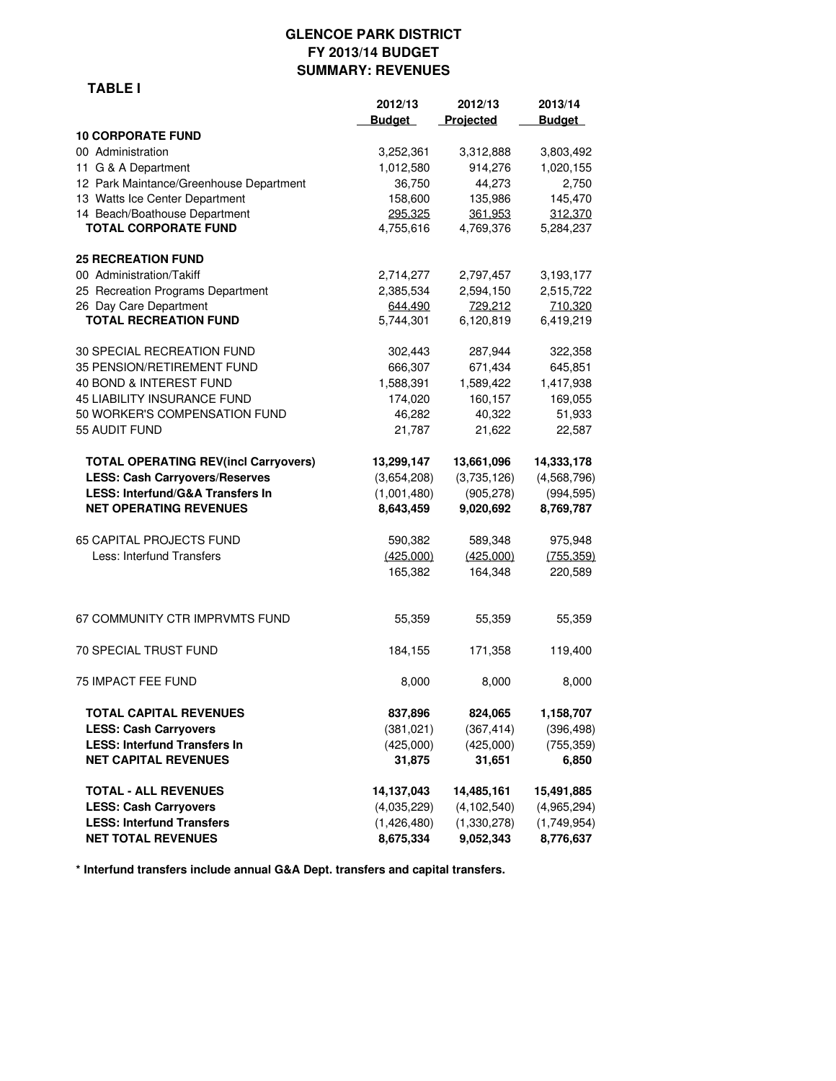#### **GLENCOE PARK DISTRICT FY 2013/14 BUDGET SUMMARY: REVENUES**

 **TABLE I**

|                                             | 2012/13       | 2012/13       | 2013/14       |
|---------------------------------------------|---------------|---------------|---------------|
|                                             | <b>Budget</b> | Projected     | <b>Budget</b> |
| <b>10 CORPORATE FUND</b>                    |               |               |               |
| 00 Administration                           | 3,252,361     | 3,312,888     | 3,803,492     |
| 11 G & A Department                         | 1,012,580     | 914,276       | 1,020,155     |
| 12 Park Maintance/Greenhouse Department     | 36,750        | 44,273        | 2,750         |
| 13 Watts Ice Center Department              | 158,600       | 135,986       | 145,470       |
| 14 Beach/Boathouse Department               | 295,325       | 361,953       | 312,370       |
| <b>TOTAL CORPORATE FUND</b>                 | 4,755,616     | 4,769,376     | 5,284,237     |
| <b>25 RECREATION FUND</b>                   |               |               |               |
| 00 Administration/Takiff                    | 2,714,277     | 2,797,457     | 3,193,177     |
| 25 Recreation Programs Department           | 2,385,534     | 2,594,150     | 2,515,722     |
| 26 Day Care Department                      | 644,490       | 729.212       | 710,320       |
| <b>TOTAL RECREATION FUND</b>                | 5,744,301     | 6,120,819     | 6,419,219     |
| 30 SPECIAL RECREATION FUND                  | 302,443       | 287,944       | 322,358       |
| 35 PENSION/RETIREMENT FUND                  | 666,307       | 671,434       | 645,851       |
| 40 BOND & INTEREST FUND                     | 1,588,391     | 1,589,422     | 1,417,938     |
| 45 LIABILITY INSURANCE FUND                 | 174,020       | 160,157       | 169,055       |
| 50 WORKER'S COMPENSATION FUND               | 46,282        | 40,322        | 51,933        |
| 55 AUDIT FUND                               | 21,787        | 21,622        | 22,587        |
| <b>TOTAL OPERATING REV(incl Carryovers)</b> | 13,299,147    | 13,661,096    | 14,333,178    |
| <b>LESS: Cash Carryovers/Reserves</b>       | (3,654,208)   | (3,735,126)   | (4,568,796)   |
| LESS: Interfund/G&A Transfers In            | (1,001,480)   | (905, 278)    | (994, 595)    |
| <b>NET OPERATING REVENUES</b>               | 8,643,459     | 9,020,692     | 8,769,787     |
| 65 CAPITAL PROJECTS FUND                    | 590,382       | 589,348       | 975,948       |
| Less: Interfund Transfers                   | (425,000)     | (425,000)     | (755, 359)    |
|                                             | 165,382       | 164,348       | 220,589       |
| 67 COMMUNITY CTR IMPRVMTS FUND              | 55,359        | 55,359        | 55,359        |
| <b>70 SPECIAL TRUST FUND</b>                | 184,155       | 171,358       | 119,400       |
| <b>75 IMPACT FEE FUND</b>                   | 8,000         | 8,000         | 8,000         |
| <b>TOTAL CAPITAL REVENUES</b>               | 837,896       | 824,065       | 1,158,707     |
| <b>LESS: Cash Carryovers</b>                | (381, 021)    | (367, 414)    | (396, 498)    |
| <b>LESS: Interfund Transfers In</b>         | (425,000)     | (425,000)     | (755, 359)    |
| <b>NET CAPITAL REVENUES</b>                 | 31,875        | 31,651        | 6,850         |
| <b>TOTAL - ALL REVENUES</b>                 | 14,137,043    | 14,485,161    | 15,491,885    |
| <b>LESS: Cash Carryovers</b>                | (4,035,229)   | (4, 102, 540) | (4,965,294)   |
| <b>LESS: Interfund Transfers</b>            | (1,426,480)   | (1,330,278)   | (1,749,954)   |
| <b>NET TOTAL REVENUES</b>                   | 8,675,334     | 9,052,343     | 8,776,637     |

**\* Interfund transfers include annual G&A Dept. transfers and capital transfers.**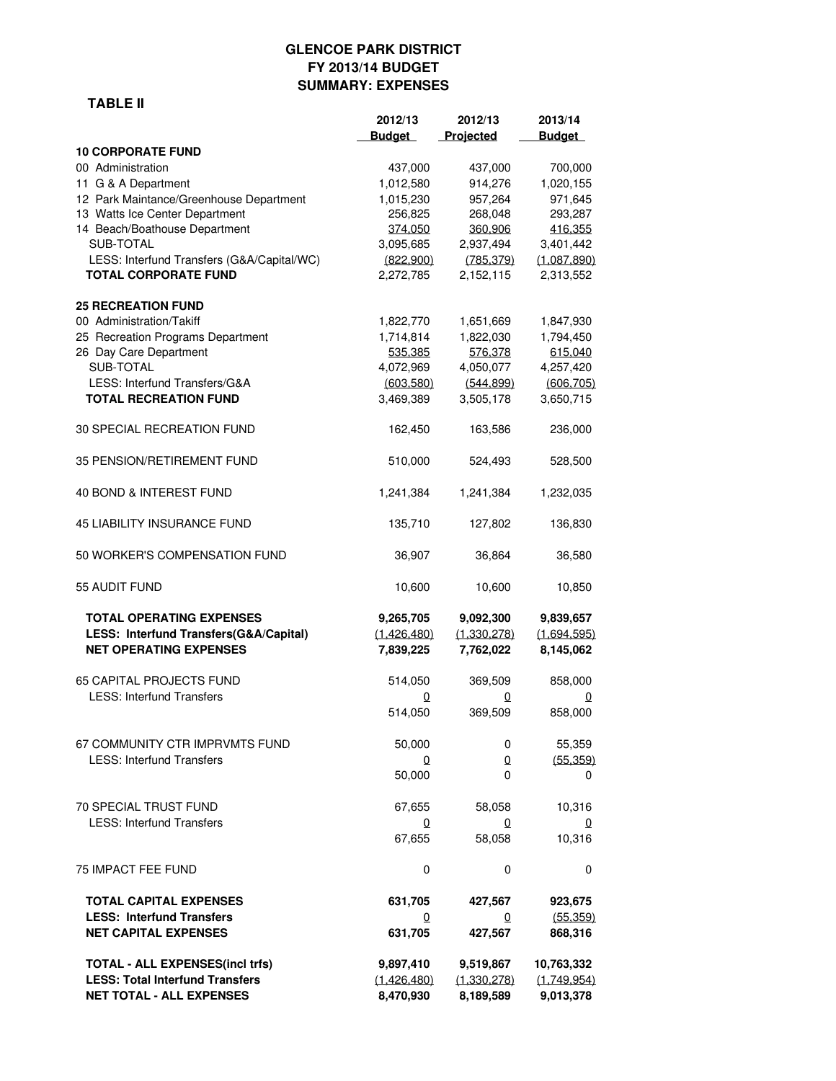## **GLENCOE PARK DISTRICT FY 2013/14 BUDGET SUMMARY: EXPENSES**

#### **TABLE II**

|                                            | 2012/13       | 2012/13     | 2013/14        |
|--------------------------------------------|---------------|-------------|----------------|
|                                            | <b>Budget</b> | Projected   | <b>Budget</b>  |
| <b>10 CORPORATE FUND</b>                   |               |             |                |
| 00 Administration                          | 437,000       | 437,000     | 700,000        |
| 11 G & A Department                        | 1,012,580     | 914,276     | 1,020,155      |
| 12 Park Maintance/Greenhouse Department    | 1,015,230     | 957,264     | 971,645        |
| 13 Watts Ice Center Department             | 256,825       | 268,048     | 293,287        |
| 14 Beach/Boathouse Department              | 374,050       | 360,906     | 416,355        |
| SUB-TOTAL                                  | 3,095,685     | 2,937,494   | 3,401,442      |
| LESS: Interfund Transfers (G&A/Capital/WC) | (822.900)     | (785.379)   | (1,087,890)    |
| <b>TOTAL CORPORATE FUND</b>                | 2,272,785     | 2,152,115   | 2,313,552      |
| <b>25 RECREATION FUND</b>                  |               |             |                |
| 00 Administration/Takiff                   | 1,822,770     | 1,651,669   | 1,847,930      |
| 25 Recreation Programs Department          | 1,714,814     | 1,822,030   | 1,794,450      |
| 26 Day Care Department                     | 535.385       | 576.378     | 615.040        |
| SUB-TOTAL                                  | 4,072,969     | 4,050,077   | 4,257,420      |
| LESS: Interfund Transfers/G&A              | (603,580)     | (544, 899)  | (606, 705)     |
| <b>TOTAL RECREATION FUND</b>               | 3,469,389     | 3,505,178   | 3,650,715      |
| 30 SPECIAL RECREATION FUND                 | 162,450       | 163,586     | 236,000        |
| 35 PENSION/RETIREMENT FUND                 | 510,000       | 524,493     | 528,500        |
| 40 BOND & INTEREST FUND                    | 1,241,384     | 1,241,384   | 1,232,035      |
| <b>45 LIABILITY INSURANCE FUND</b>         | 135,710       | 127,802     | 136,830        |
| 50 WORKER'S COMPENSATION FUND              | 36,907        | 36,864      | 36,580         |
| 55 AUDIT FUND                              | 10,600        | 10,600      | 10,850         |
| <b>TOTAL OPERATING EXPENSES</b>            | 9,265,705     | 9,092,300   | 9,839,657      |
| LESS: Interfund Transfers(G&A/Capital)     | (1,426,480)   | (1,330,278) | (1,694,595)    |
| <b>NET OPERATING EXPENSES</b>              | 7,839,225     | 7,762,022   | 8,145,062      |
| 65 CAPITAL PROJECTS FUND                   | 514,050       | 369,509     | 858,000        |
| <b>LESS: Interfund Transfers</b>           | 0             | 0           | 0              |
|                                            | 514,050       | 369,509     | 858,000        |
| 67 COMMUNITY CTR IMPRVMTS FUND             | 50,000        | 0           | 55,359         |
| <b>LESS: Interfund Transfers</b>           | 0             | 0           | (55, 359)      |
|                                            | 50,000        | 0           | 0              |
| 70 SPECIAL TRUST FUND                      | 67,655        | 58,058      | 10,316         |
| <b>LESS: Interfund Transfers</b>           | 0             | 0           | $\overline{0}$ |
|                                            | 67,655        | 58,058      | 10,316         |
| 75 IMPACT FEE FUND                         | 0             | 0           | 0              |
| <b>TOTAL CAPITAL EXPENSES</b>              | 631,705       | 427,567     | 923,675        |
| <b>LESS: Interfund Transfers</b>           | 0             | 0           | (55, 359)      |
| <b>NET CAPITAL EXPENSES</b>                | 631,705       | 427,567     | 868,316        |
| <b>TOTAL - ALL EXPENSES(incl trfs)</b>     | 9,897,410     | 9,519,867   | 10,763,332     |
| <b>LESS: Total Interfund Transfers</b>     | (1,426,480)   | (1,330,278) | (1,749,954)    |
| <b>NET TOTAL - ALL EXPENSES</b>            | 8,470,930     | 8,189,589   | 9,013,378      |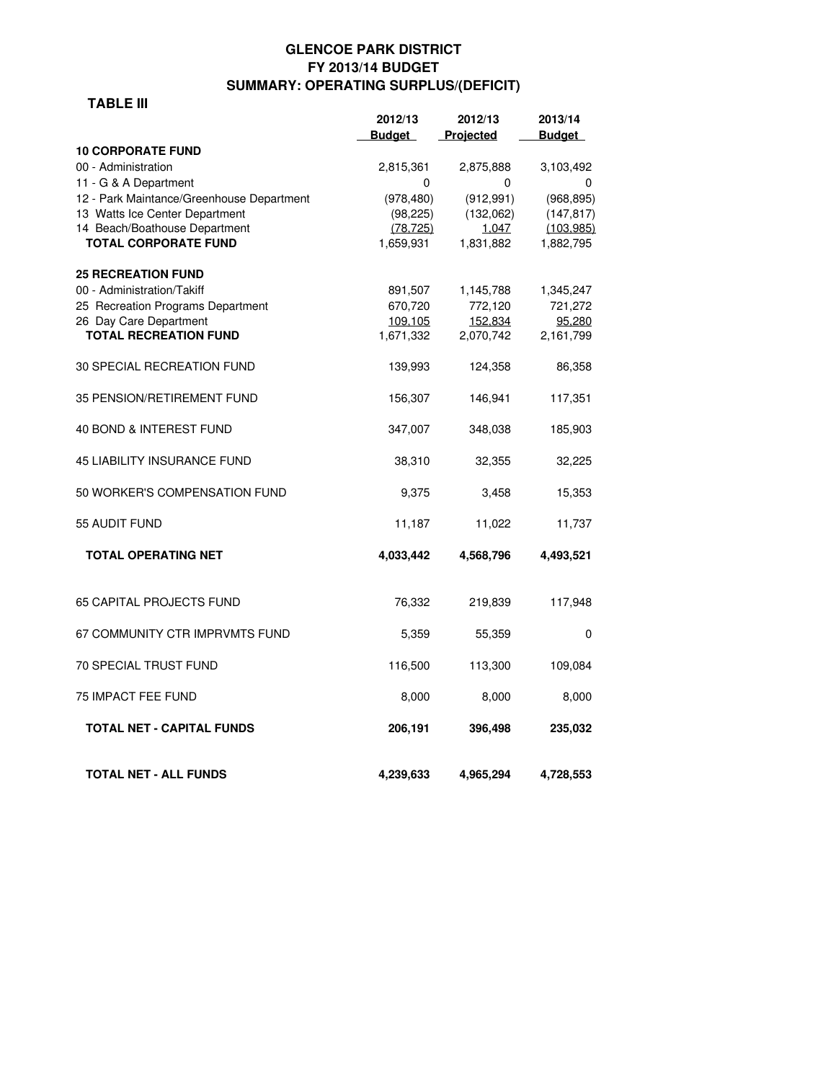## **GLENCOE PARK DISTRICT FY 2013/14 BUDGET SUMMARY: OPERATING SURPLUS/(DEFICIT)**

#### **TABLE III**

|                                                              | 2012/13                | 2012/13            | 2013/14                 |
|--------------------------------------------------------------|------------------------|--------------------|-------------------------|
|                                                              | <b>Budget</b>          | Projected          | <b>Budget</b>           |
| <b>10 CORPORATE FUND</b>                                     |                        |                    |                         |
| 00 - Administration                                          | 2,815,361              | 2,875,888          | 3,103,492               |
| 11 - G & A Department                                        | 0                      | 0                  | 0                       |
| 12 - Park Maintance/Greenhouse Department                    | (978, 480)             | (912, 991)         | (968, 895)              |
| 13 Watts Ice Center Department                               | (98, 225)              | (132,062)          | (147, 817)              |
| 14 Beach/Boathouse Department<br><b>TOTAL CORPORATE FUND</b> | (78, 725)<br>1,659,931 | 1,047<br>1,831,882 | (103, 985)<br>1,882,795 |
|                                                              |                        |                    |                         |
| <b>25 RECREATION FUND</b>                                    |                        |                    |                         |
| 00 - Administration/Takiff                                   | 891,507                | 1,145,788          | 1,345,247               |
| 25 Recreation Programs Department                            | 670,720                | 772,120            | 721,272                 |
| 26 Day Care Department                                       | 109,105                | 152,834            | 95,280                  |
| <b>TOTAL RECREATION FUND</b>                                 | 1,671,332              | 2,070,742          | 2,161,799               |
| 30 SPECIAL RECREATION FUND                                   | 139,993                | 124,358            | 86,358                  |
| 35 PENSION/RETIREMENT FUND                                   | 156,307                | 146,941            | 117,351                 |
| 40 BOND & INTEREST FUND                                      | 347,007                | 348,038            | 185,903                 |
|                                                              |                        |                    |                         |
| <b>45 LIABILITY INSURANCE FUND</b>                           | 38,310                 | 32,355             | 32,225                  |
| 50 WORKER'S COMPENSATION FUND                                | 9,375                  | 3,458              | 15,353                  |
| 55 AUDIT FUND                                                | 11,187                 | 11,022             | 11,737                  |
| <b>TOTAL OPERATING NET</b>                                   | 4,033,442              | 4,568,796          | 4,493,521               |
| <b>65 CAPITAL PROJECTS FUND</b>                              | 76,332                 | 219,839            | 117,948                 |
| 67 COMMUNITY CTR IMPRVMTS FUND                               | 5,359                  | 55,359             | 0                       |
|                                                              |                        |                    |                         |
| <b>70 SPECIAL TRUST FUND</b>                                 | 116,500                | 113,300            | 109,084                 |
| <b>75 IMPACT FEE FUND</b>                                    | 8,000                  | 8,000              | 8,000                   |
| <b>TOTAL NET - CAPITAL FUNDS</b>                             | 206,191                | 396,498            | 235,032                 |
| <b>TOTAL NET - ALL FUNDS</b>                                 | 4,239,633              | 4,965,294          | 4,728,553               |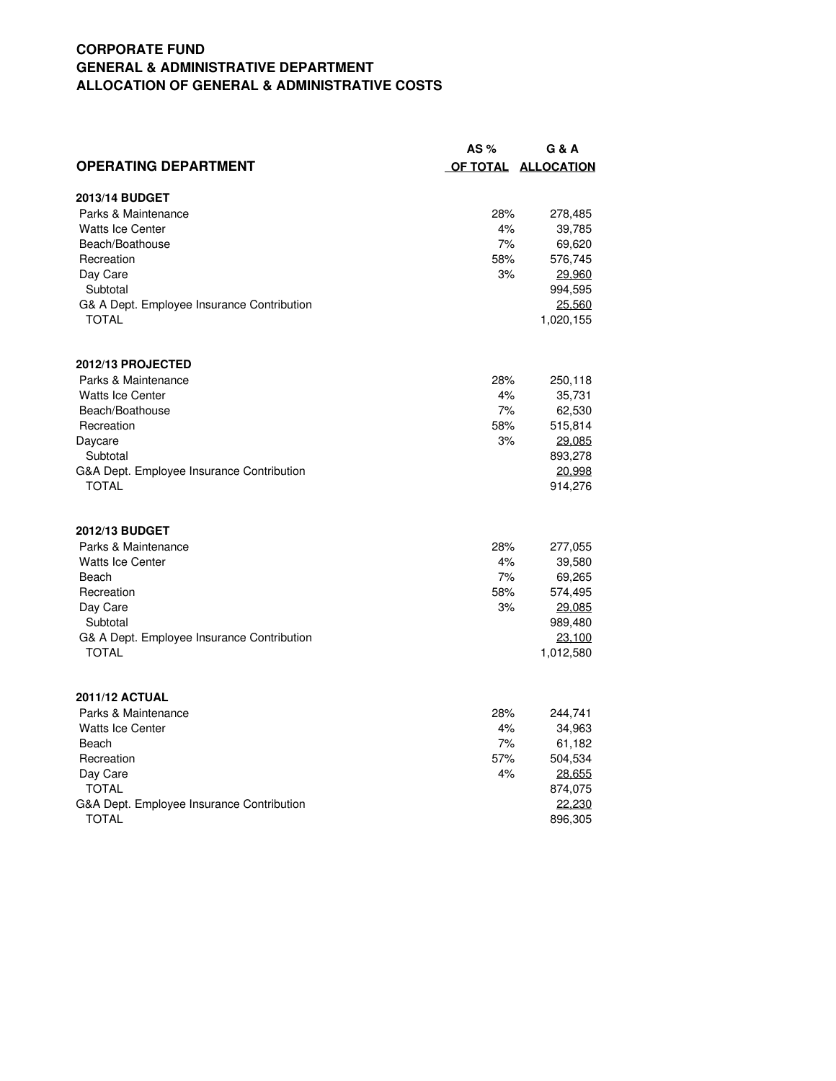## **CORPORATE FUND GENERAL & ADMINISTRATIVE DEPARTMENT ALLOCATION OF GENERAL & ADMINISTRATIVE COSTS**

|                                            | AS $%$ | G & A               |
|--------------------------------------------|--------|---------------------|
| <b>OPERATING DEPARTMENT</b>                |        | OF TOTAL ALLOCATION |
| 2013/14 BUDGET                             |        |                     |
| Parks & Maintenance                        | 28%    | 278,485             |
| <b>Watts Ice Center</b>                    | 4%     | 39,785              |
| Beach/Boathouse                            | 7%     | 69,620              |
| Recreation                                 | 58%    | 576,745             |
| Day Care                                   | 3%     | 29,960              |
| Subtotal                                   |        | 994,595             |
| G& A Dept. Employee Insurance Contribution |        | 25.560              |
| <b>TOTAL</b>                               |        | 1,020,155           |
| 2012/13 PROJECTED                          |        |                     |
| Parks & Maintenance                        | 28%    | 250,118             |
| <b>Watts Ice Center</b>                    | 4%     | 35,731              |
| Beach/Boathouse                            | 7%     | 62,530              |
| Recreation                                 | 58%    | 515,814             |
| Daycare                                    | 3%     | 29,085              |
| Subtotal                                   |        | 893,278             |
| G&A Dept. Employee Insurance Contribution  |        | 20,998              |
| TOTAL                                      |        | 914,276             |
| 2012/13 BUDGET                             |        |                     |
| Parks & Maintenance                        | 28%    | 277,055             |
| <b>Watts Ice Center</b>                    | 4%     | 39,580              |
| Beach                                      | 7%     | 69,265              |
| Recreation                                 | 58%    | 574,495             |
| Day Care                                   | 3%     | 29.085              |
| Subtotal                                   |        | 989,480             |
| G& A Dept. Employee Insurance Contribution |        | 23,100              |
| <b>TOTAL</b>                               |        | 1,012,580           |
| <b>2011/12 ACTUAL</b>                      |        |                     |
| Parks & Maintenance                        | 28%    | 244,741             |
| <b>Watts Ice Center</b>                    | 4%     | 34,963              |
| Beach                                      | 7%     | 61,182              |
| Recreation                                 | 57%    | 504,534             |
| Day Care                                   | 4%     | 28.655              |
| TOTAL                                      |        | 874,075             |
| G&A Dept. Employee Insurance Contribution  |        | 22.230              |
| <b>TOTAL</b>                               |        | 896,305             |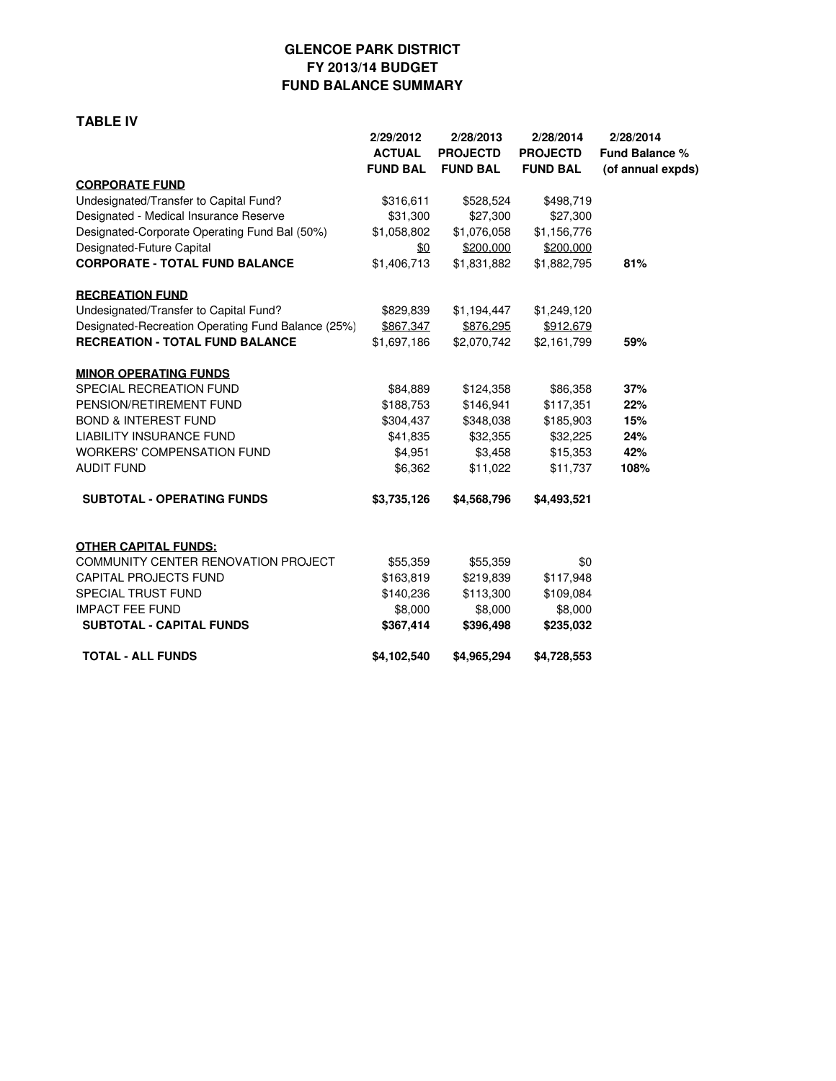## **GLENCOE PARK DISTRICT FY 2013/14 BUDGET FUND BALANCE SUMMARY**

#### **TABLE IV**

|                                                    | 2/29/2012       | 2/28/2013       | 2/28/2014       | 2/28/2014             |  |
|----------------------------------------------------|-----------------|-----------------|-----------------|-----------------------|--|
|                                                    | <b>ACTUAL</b>   | <b>PROJECTD</b> | <b>PROJECTD</b> | <b>Fund Balance %</b> |  |
|                                                    | <b>FUND BAL</b> | <b>FUND BAL</b> | <b>FUND BAL</b> | (of annual expds)     |  |
| <b>CORPORATE FUND</b>                              |                 |                 |                 |                       |  |
| Undesignated/Transfer to Capital Fund?             | \$316,611       | \$528,524       | \$498,719       |                       |  |
| Designated - Medical Insurance Reserve             | \$31,300        | \$27,300        | \$27,300        |                       |  |
| Designated-Corporate Operating Fund Bal (50%)      | \$1,058,802     | \$1,076,058     | \$1,156,776     |                       |  |
| Designated-Future Capital                          | \$0             | \$200,000       | \$200,000       |                       |  |
| <b>CORPORATE - TOTAL FUND BALANCE</b>              | \$1,406,713     | \$1,831,882     | \$1,882,795     | 81%                   |  |
| <b>RECREATION FUND</b>                             |                 |                 |                 |                       |  |
| Undesignated/Transfer to Capital Fund?             | \$829,839       | \$1,194,447     | \$1,249,120     |                       |  |
| Designated-Recreation Operating Fund Balance (25%) | \$867.347       | \$876.295       | \$912.679       |                       |  |
| <b>RECREATION - TOTAL FUND BALANCE</b>             | \$1,697,186     | \$2,070,742     | \$2,161,799     | 59%                   |  |
| <b>MINOR OPERATING FUNDS</b>                       |                 |                 |                 |                       |  |
| SPECIAL RECREATION FUND                            | \$84,889        | \$124,358       | \$86,358        | 37%                   |  |
| PENSION/RETIREMENT FUND                            | \$188,753       | \$146,941       | \$117,351       | 22%                   |  |
| <b>BOND &amp; INTEREST FUND</b>                    | \$304,437       | \$348,038       | \$185,903       | 15%                   |  |
| <b>LIABILITY INSURANCE FUND</b>                    | \$41,835        | \$32,355        | \$32,225        | 24%                   |  |
| <b>WORKERS' COMPENSATION FUND</b>                  | \$4,951         | \$3,458         | \$15,353        | 42%                   |  |
| <b>AUDIT FUND</b>                                  | \$6,362         | \$11,022        | \$11,737        | 108%                  |  |
| <b>SUBTOTAL - OPERATING FUNDS</b>                  | \$3,735,126     | \$4,568,796     | \$4,493,521     |                       |  |
| <b>OTHER CAPITAL FUNDS:</b>                        |                 |                 |                 |                       |  |
| <b>COMMUNITY CENTER RENOVATION PROJECT</b>         | \$55,359        | \$55,359        | \$0             |                       |  |
| <b>CAPITAL PROJECTS FUND</b>                       | \$163,819       | \$219,839       | \$117,948       |                       |  |
| <b>SPECIAL TRUST FUND</b>                          | \$140,236       | \$113,300       | \$109,084       |                       |  |
| <b>IMPACT FEE FUND</b>                             | \$8,000         | \$8,000         | \$8,000         |                       |  |
| <b>SUBTOTAL - CAPITAL FUNDS</b>                    | \$367,414       | \$396,498       | \$235,032       |                       |  |
| <b>TOTAL - ALL FUNDS</b>                           | \$4,102,540     | \$4,965,294     | \$4,728,553     |                       |  |